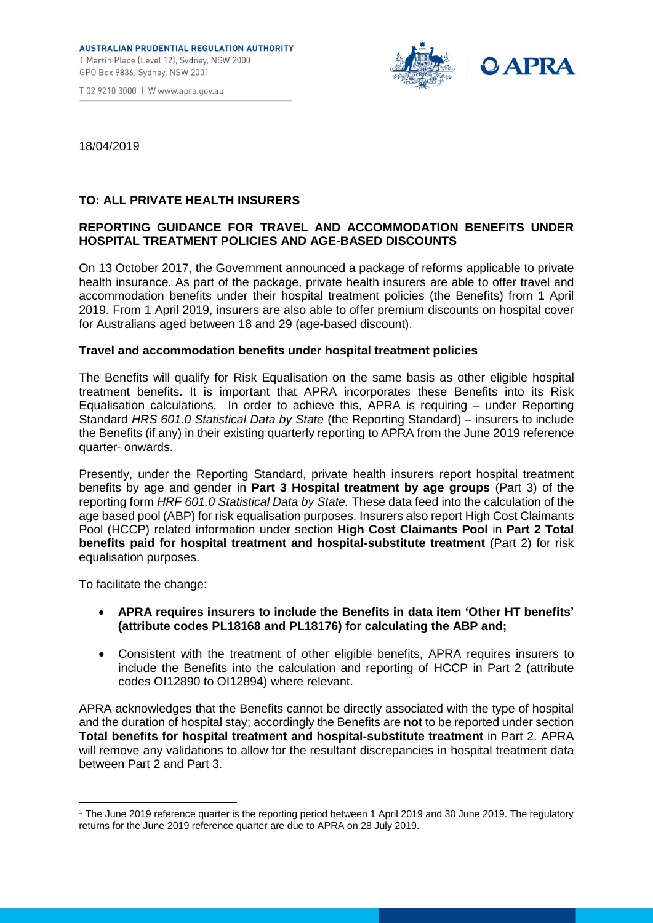T 02 9210 3000 | W www.apra.gov.au



18/04/2019

## **TO: ALL PRIVATE HEALTH INSURERS**

## **REPORTING GUIDANCE FOR TRAVEL AND ACCOMMODATION BENEFITS UNDER HOSPITAL TREATMENT POLICIES AND AGE-BASED DISCOUNTS**

On 13 October 2017, the Government announced a package of reforms applicable to private health insurance. As part of the package, private health insurers are able to offer travel and accommodation benefits under their hospital treatment policies (the Benefits) from 1 April 2019. From 1 April 2019, insurers are also able to offer premium discounts on hospital cover for Australians aged between 18 and 29 (age-based discount).

## **Travel and accommodation benefits under hospital treatment policies**

The Benefits will qualify for Risk Equalisation on the same basis as other eligible hospital treatment benefits. It is important that APRA incorporates these Benefits into its Risk Equalisation calculations. In order to achieve this, APRA is requiring – under Reporting Standard *HRS 601.0 Statistical Data by State* (the Reporting Standard) – insurers to include the Benefits (if any) in their existing quarterly reporting to APRA from the June 2019 reference quarter<sup>1</sup> onwards.

Presently, under the Reporting Standard, private health insurers report hospital treatment benefits by age and gender in **Part 3 Hospital treatment by age groups** (Part 3) of the reporting form *HRF 601.0 Statistical Data by State.* These data feed into the calculation of the age based pool (ABP) for risk equalisation purposes. Insurers also report High Cost Claimants Pool (HCCP) related information under section **High Cost Claimants Pool** in **Part 2 Total benefits paid for hospital treatment and hospital-substitute treatment** (Part 2) for risk equalisation purposes.

To facilitate the change:

 $\overline{a}$ 

- **APRA requires insurers to include the Benefits in data item 'Other HT benefits' (attribute codes [PL18168 a](https://sbr-pet.apra.gov.au/HRF/attributes/HRF_601_1_1/HRF_601_1_1-PL18168.html)nd [PL18176\)](https://sbr-pet.apra.gov.au/HRF/attributes/HRF_601_1_1/HRF_601_1_1-PL18176.html) for calculating the ABP and;**
- Consistent with the treatment of other eligible benefits, APRA requires insurers to include the Benefits into [the calculation and reporting of HCCP](https://sbr-pet.apra.gov.au/HRF/attributes/HRF_601_1_1/HRF_601_1_1-OI12890.html) in Part 2 (attribute [codes OI12890 to](https://sbr-pet.apra.gov.au/HRF/attributes/HRF_601_1_1/HRF_601_1_1-OI12890.html) OI12894) where relevant.

APRA acknowledges that the Benefits cannot be directly associated with the type of hospital and the duration of hospital stay; accordingly the Benefits are **not** to be reported under section **Total benefits for hospital treatment and hospital-substitute treatment** in Part 2. APRA will remove any validations to allow for the resultant discrepancies in hospital treatment data between Part 2 and Part 3.

<sup>&</sup>lt;sup>1</sup> The June 2019 reference quarter is the reporting period between 1 April 2019 and 30 June 2019. The regulatory returns for the June 2019 reference quarter are due to APRA on 28 July 2019.